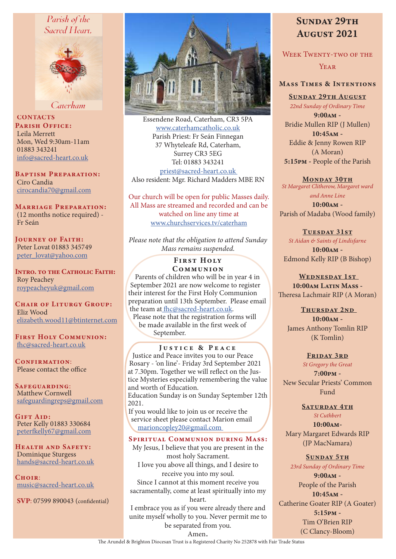## Parish of the Sacred Heart.



Caterham

**CONTACTS** PARISH OFFICE: Leila Merrett Mon, Wed 9:30am-11am 01883 343241 info@sacred-heart.co.uk

Baptism Preparation: Ciro Candia cirocandia70@gmail.com

Marriage Preparation: (12 months notice required) - Fr Seán

Journey of Faith: Peter Lovat 01883 345749 peter\_lovat@yahoo.com

Intro. to the Catholic Faith: Roy Peachey roypeacheyuk@gmail.com

CHAIR OF LITURGY GROUP: Eliz Wood elizabeth.wood11@btinternet.com

First Holy Communion: fhc@sacred-heart.co.uk

CONFIRMATION: Please contact the office

Safeguarding: Matthew Cornwell safeguardingreps@gmail.com

GIFT AID: Peter Kelly 01883 330684 peterfkelly67@gmail.com

HEALTH AND SAFETY: Dominique Sturgess hands@sacred-heart.co.uk

 $C$ HOIR $\cdot$ music@sacred-heart.co.uk

SVP: 07599 890043 (confidential)



Essendene Road, Caterham, CR3 5PA www.caterhamcatholic.co.uk Parish Priest: Fr Seán Finnegan 37 Whyteleafe Rd, Caterham, Surrey CR3 5EG Tel: 01883 343241 priest@sacred-heart.co.uk Also resident: Mgr. Richard Madders MBE RN

Our church will be open for public Masses daily. All Mass are streamed and recorded and can be watched on line any time at www.churchservices.tv/caterham

*Please note that the obligation to attend Sunday Mass remains suspended.*

#### **FIRST HOLY COMMUNION**

Parents of children who will be in year 4 in September 2021 are now welcome to register their interest for the First Holy Communion preparation until 13th September. Please email the team at fhc@sacred-heart.co.uk.

Please note that the registration forms will be made available in the first week of September.

#### Justice & Peace

Justice and Peace invites you to our Peace Rosary - 'on line'- Friday 3rd September 2021 at 7.30pm. Together we will reflect on the Justice Mysteries especially remembering the value and worth of Education. Education Sunday is on Sunday September 12th 2021. If you would like to join us or receive the service sheet please contact Marion email marioncopley20@gmail.com

# Spiritual Communion during Mass:

My Jesus, I believe that you are present in the most holy Sacrament. I love you above all things, and I desire to receive you into my soul. Since I cannot at this moment receive you sacramentally, come at least spiritually into my heart. I embrace you as if you were already there and

unite myself wholly to you. Never permit me to be separated from you.

# SUNDAY 29TH August 2021

WEEK TWENTY-TWO OF THE **YEAR** 

## Mass Times & Intentions

Sunday 29th August

*22nd Sunday of Ordinary Time*

9:00am - Bridie Mullen RIP (J Mullen) 10:45am - Eddie & Jenny Rowen RIP (A Moran) 5:15pm - People of the Parish

#### MONDAY 30TH

*St Margaret Clitherow, Margaret ward and Anne Line*

10:00am - Parish of Madaba (Wood family)

#### TUESDAY 31ST

*St Aidan & Saints of Lindisfarne* 10:00am -

Edmond Kelly RIP (B Bishop)

## WEDNESDAY 1ST 10:00am Latin Mass -

Theresa Lachmair RIP (A Moran)

# THURSDAY 2ND

10:00am - James Anthony Tomlin RIP (K Tomlin)

#### FRIDAY 3RD

*St Gregory the Great* 7:00pm - New Secular Priests' Common Fund

#### SATURDAY 4TH

*St Cuthbert* 10:00am-Mary Margaret Edwards RIP (JP MacNamara)

#### SUNDAY 5TH

*23rd Sunday of Ordinary Time*

9:00am - People of the Parish 10:45am - Catherine Goater RIP (A Goater) 5:15pm - Tim O'Brien RIP (C Clancy-Bloom)

Amen. The Arundel & Brighton Diocesan Trust is a Registered Charity No 252878 with Fair Trade Status